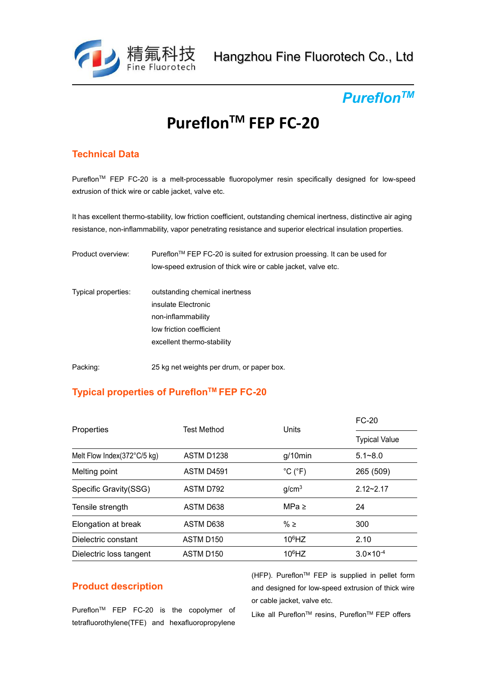

#### *Pureflon TM*

# **Pureflon TM FEP FC-20**

### **Technical Data**

Pureflon TM FEP FC-20 is a melt-processable fluoropolymer resin specifically designed for low-speed extrusion of thick wire or cable jacket, valve etc.

It has excellent thermo-stability, low friction coefficient, outstanding chemical inertness, distinctive air aging resistance, non-inflammability, vapor penetrating resistance and superior electrical insulation properties.

| Product overview:   | Pureflon <sup>™</sup> FEP FC-20 is suited for extrusion proessing. It can be used for |
|---------------------|---------------------------------------------------------------------------------------|
|                     | low-speed extrusion of thick wire or cable jacket, valve etc.                         |
| Typical properties: | outstanding chemical inertness                                                        |
|                     | insulate Electronic                                                                   |
|                     | non-inflammability                                                                    |
|                     | low friction coefficient                                                              |
|                     | excellent thermo-stability                                                            |
|                     |                                                                                       |

Packing: 25 kg net weights per drum, or paper box.

### **Typical properties of Pureflon TM FEP FC-20**

| Properties                  | <b>Test Method</b> | Units                        | <b>FC-20</b>         |
|-----------------------------|--------------------|------------------------------|----------------------|
|                             |                    |                              | <b>Typical Value</b> |
| Melt Flow Index(372°C/5 kg) | ASTM D1238         | $g/10$ min                   | $5.1 - 8.0$          |
| Melting point               | ASTM D4591         | $^{\circ}$ C ( $^{\circ}$ F) | 265 (509)            |
| Specific Gravity(SSG)       | ASTM D792          | g/cm <sup>3</sup>            | $2.12 - 2.17$        |
| Tensile strength            | ASTM D638          | MPa $\geq$                   | 24                   |
| Elongation at break         | ASTM D638          | % $\geq$                     | 300                  |
| Dielectric constant         | ASTM D150          | $106$ HZ                     | 2.10                 |
| Dielectric loss tangent     | ASTM D150          | $10^6$ HZ                    | $3.0 \times 10^{-4}$ |
|                             |                    |                              |                      |

### **Product description**

Pureflon<sup>TM</sup> FEP FC-20 is the copolymer of  $\frac{1}{1000}$ tetrafluorothylene(TFE) and hexafluoropropylene

(HFP). Pureflon<sup>™</sup> FEP is supplied in pellet form and designed for low-speed extrusion of thick wire or cable jacket, valve etc.

Like all Pureflon™ resins, Pureflon™ FEP offers